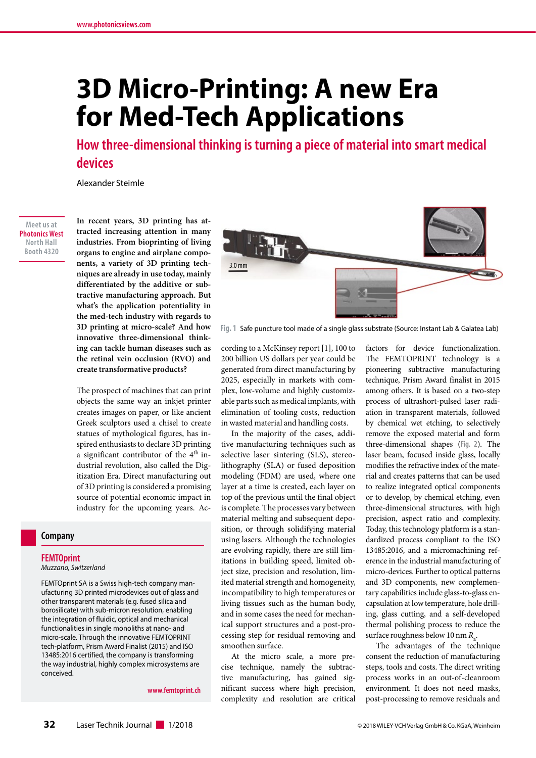# **3D Micro-Printing: A new Era for Med-Tech Applications**

**How three-dimensional thinking is turning a piece of material into smart medical devices**

Alexander Steimle

**Meet us at Photonics West North Hall Booth 4320**

**In recent years, 3D printing has attracted increasing attention in many industries. From bioprinting of living organs to engine and airplane components, a variety of 3D printing techniques are already in use today, mainly differentiated by the additive or subtractive manufacturing approach. But what's the application potentiality in the med-tech industry with regards to 3D printing at micro-scale? And how innovative three-dimensional thinking can tackle human diseases such as the retinal vein occlusion (RVO) and create transformative products?**

The prospect of machines that can print objects the same way an inkjet printer creates images on paper, or like ancient Greek sculptors used a chisel to create statues of mythological figures, has inspired enthusiasts to declare 3D printing a significant contributor of the 4<sup>th</sup> industrial revolution, also called the Digitization Era. Direct manufacturing out of 3D printing is considered a promising source of potential economic impact in industry for the upcoming years. Ac-

## **Company**

#### **FEMTOprint**

*Muzzano, Switzerland*

FEMTOprint SA is a Swiss high-tech company manufacturing 3D printed microdevices out of glass and other transparent materials (e.g. fused silica and borosilicate) with sub-micron resolution, enabling the integration of fluidic, optical and mechanical functionalities in single monoliths at nano- and micro-scale. Through the innovative FEMTOPRINT tech-platform, Prism Award Finalist (2015) and ISO 13485:2016 certified, the company is transforming the way industrial, highly complex microsystems are conceived.

**www.femtoprint.ch**



**Fig. 1** Safe puncture tool made of a single glass substrate (Source: Instant Lab & Galatea Lab)

cording to a McKinsey report [1], 100 to 200 billion US dollars per year could be generated from direct manufacturing by 2025, especially in markets with complex, low-volume and highly customizable parts such as medical implants, with elimination of tooling costs, reduction in wasted material and handling costs.

In the majority of the cases, additive manufacturing techniques such as selective laser sintering (SLS), stereolithography (SLA) or fused deposition modeling (FDM) are used, where one layer at a time is created, each layer on top of the previous until the final object is complete. The processes vary between material melting and subsequent deposition, or through solidifying material using lasers. Although the technologies are evolving rapidly, there are still limitations in building speed, limited object size, precision and resolution, limited material strength and homogeneity, incompatibility to high temperatures or living tissues such as the human body, and in some cases the need for mechanical support structures and a post-processing step for residual removing and smoothen surface.

At the micro scale, a more precise technique, namely the subtractive manufacturing, has gained significant success where high precision, complexity and resolution are critical

factors for device functionalization. The FEMTOPRINT technology is a pioneering subtractive manufacturing technique, Prism Award finalist in 2015 among others. It is based on a two-step process of ultrashort-pulsed laser radiation in transparent materials, followed by chemical wet etching, to selectively remove the exposed material and form three-dimensional shapes (**Fig. 2**). The laser beam, focused inside glass, locally modifies the refractive index of the material and creates patterns that can be used to realize integrated optical components or to develop, by chemical etching, even three-dimensional structures, with high precision, aspect ratio and complexity. Today, this technology platform is a standardized process compliant to the ISO 13485:2016, and a micromachining reference in the industrial manufacturing of micro-devices. Further to optical patterns and 3D components, new complementary capabilities include glass-to-glass encapsulation at low temperature, hole drilling, glass cutting, and a self-developed thermal polishing process to reduce the surface roughness below 10 nm R<sub>a</sub>.

The advantages of the technique consent the reduction of manufacturing steps, tools and costs. The direct writing process works in an out-of-cleanroom environment. It does not need masks, post-processing to remove residuals and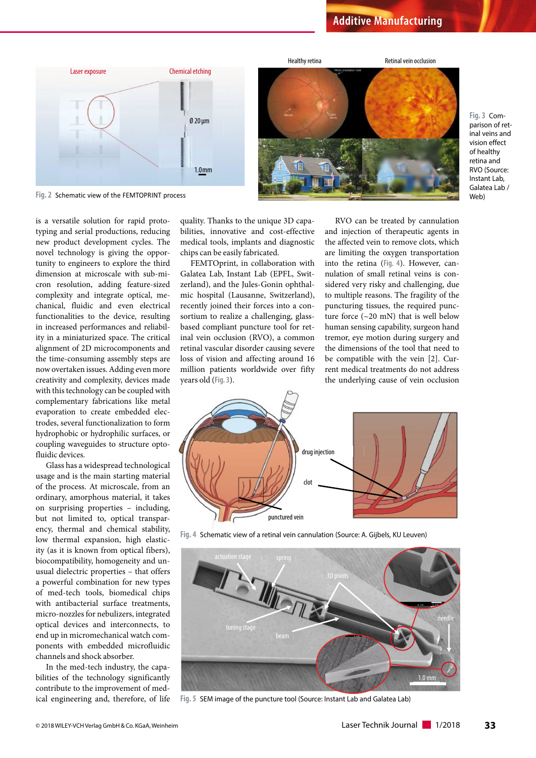

**Fig. 3** Comparison of retinal veins and vision effect of healthy retina and RVO (Source: Instant Lab, Galatea Lab / Web)

**Fig. 2** Schematic view of the FEMTOPRINT process

is a versatile solution for rapid prototyping and serial productions, reducing new product development cycles. The novel technology is giving the opportunity to engineers to explore the third dimension at microscale with sub-micron resolution, adding feature-sized complexity and integrate optical, mechanical, fluidic and even electrical functionalities to the device, resulting in increased performances and reliability in a miniaturized space. The critical alignment of 2D microcomponents and the time-consuming assembly steps are now overtaken issues. Adding even more creativity and complexity, devices made with this technology can be coupled with complementary fabrications like metal evaporation to create embedded electrodes, several functionalization to form hydrophobic or hydrophilic surfaces, or coupling waveguides to structure optofluidic devices.

Glass has a widespread technological usage and is the main starting material of the process. At microscale, from an ordinary, amorphous material, it takes on surprising properties – including, but not limited to, optical transparency, thermal and chemical stability, low thermal expansion, high elasticity (as it is known from optical fibers), biocompatibility, homogeneity and unusual dielectric properties – that offers a powerful combination for new types of med-tech tools, biomedical chips with antibacterial surface treatments, micro-nozzles for nebulizers, integrated optical devices and interconnects, to end up in micromechanical watch components with embedded microfluidic channels and shock absorber.

In the med-tech industry, the capabilities of the technology significantly contribute to the improvement of medical engineering and, therefore, of life

quality. Thanks to the unique 3D capabilities, innovative and cost-effective medical tools, implants and diagnostic chips can be easily fabricated.

FEMTOprint, in collaboration with Galatea Lab, Instant Lab (EPFL, Switzerland), and the Jules-Gonin ophthalmic hospital (Lausanne, Switzerland), recently joined their forces into a consortium to realize a challenging, glassbased compliant puncture tool for retinal vein occlusion (RVO), a common retinal vascular disorder causing severe loss of vision and affecting around 16 million patients worldwide over fifty years old (**Fig. 3**).

RVO can be treated by cannulation and injection of therapeutic agents in the affected vein to remove clots, which are limiting the oxygen transportation into the retina (**Fig. 4**). However, cannulation of small retinal veins is considered very risky and challenging, due to multiple reasons. The fragility of the puncturing tissues, the required puncture force (~20 mN) that is well below human sensing capability, surgeon hand tremor, eye motion during surgery and the dimensions of the tool that need to be compatible with the vein [2]. Current medical treatments do not address the underlying cause of vein occlusion



**Fig. 4** Schematic view of a retinal vein cannulation (Source: A. Gijbels, KU Leuven)



**Fig. 5** SEM image of the puncture tool (Source: Instant Lab and Galatea Lab)